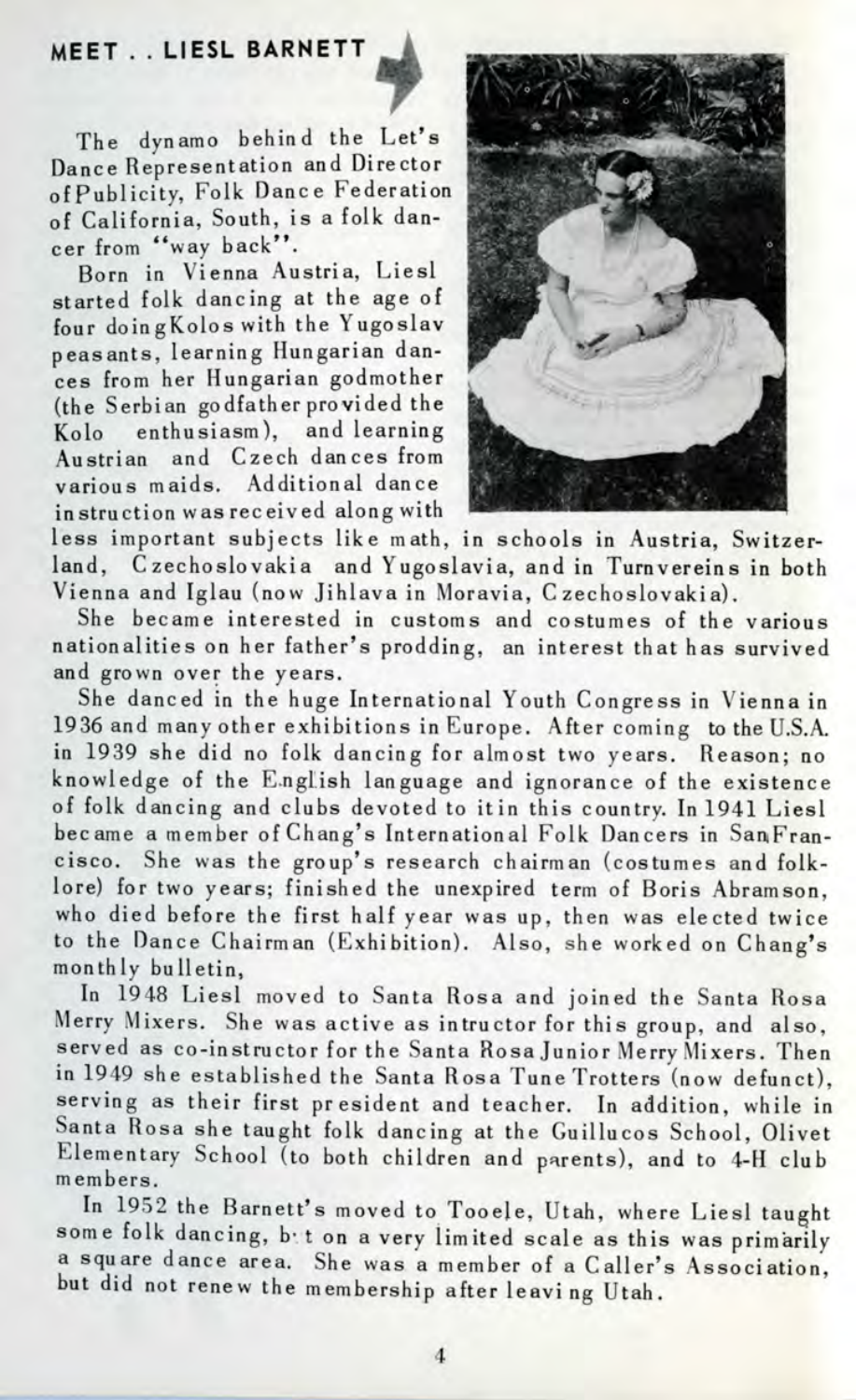## **MEET . . LIESL BARNETT**



The dynamo behind the Let's Dance Representation and Director ofPublicity, Folk Danc e Federation of California, South, is a folk dancer from "way back".

Born in Vienna Austria, Liesl started folk dancing at the age of four doing Kolos with the Yugoslav peasants, learning Hungarian dances from her Hungarian godmother (the Serbian godfather provided the Kolo enthusiasm), and learning Austrian and Czech dances from various maids. Additional dance instruction was received along with



less important subjects lik e math, in schools in Austria, Switzerland, Czechoslovakia and Yugoslavia, and in Turnvereins in both Vienna and Iglau (now Jihlava in Moravia, Czechoslovakia).

She became interested in customs and costumes of the various nationalities on her father's prodding, an interest that has survived and grown over the years.

She danced in the huge International Youth Congress in Vienna in 1936 and many other exhibitions in Europe. After coming to the U.S.A. in 1939 she did no folk dancing for almost two years. Reason; no knowledge of the English language and ignorance of the existence of folk dancing and clubs devoted to itin this country. In 1941 Liesl became a member of Chang's International Folk Dancers in SanFrancisco. She was the group's research chairman (costumes and folklore) for two years; finished the unexpired term of Boris Abramson. who died before the first half year was up, then was elected twice to the Dance Chairman (Exhibition). Also, she worked on Chang's monthly bulletin.

In 1948 Liesl moved to Santa Rosa and joined the Santa Rosa Merry Mixers. She was active as intructor for this group, and also, served as co-instructor for the Santa Rosa Junior Merry Mixers. Then in 1949 she established the Santa Rosa Tune Trotters (now defunct), serving as their first president and teacher. In addition, while in Santa Rosa she taught folk dancing at the Guillucos School, Olivet Elementary School (to both children and parents), and to 4-H club members.

In 1952 the Barnett's moved to Tooele, Utah, where Liesl taught some folk dancing, bet on a very limited scale as this was primarily a square dance area. She was a member of a Caller's Association, but did not renew the membership after leaving Utah.